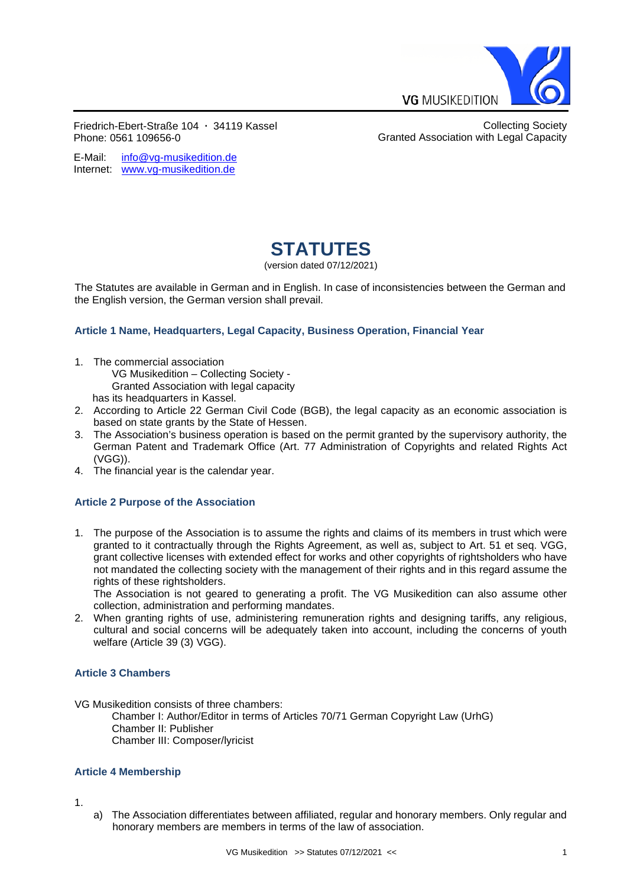

Granted Association with Legal Capacity

Collecting Society

Friedrich-Ebert-Straße 104 **∙** 34119 Kassel Phone: 0561 109656-0

E-wall. Intowy-musikedition.de<br>Internet: [www.vg-musikedition.de](http://www.vg-musikedition.de/) E-Mail: [info@vg-musikedition.de](mailto:info@vg-musikedition.de)

# **STATUTES**

(version dated 07/12/2021)

The Statutes are available in German and in English. In case of inconsistencies between the German and the English version, the German version shall prevail.

# **Article 1 Name, Headquarters, Legal Capacity, Business Operation, Financial Year**

1. The commercial association

VG Musikedition – Collecting Society -

Granted Association with legal capacity

- has its headquarters in Kassel.
- 2. According to Article 22 German Civil Code (BGB), the legal capacity as an economic association is based on state grants by the State of Hessen.
- 3. The Association's business operation is based on the permit granted by the supervisory authority, the German Patent and Trademark Office (Art. 77 Administration of Copyrights and related Rights Act (VGG)).
- 4. The financial year is the calendar year.

# **Article 2 Purpose of the Association**

1. The purpose of the Association is to assume the rights and claims of its members in trust which were granted to it contractually through the Rights Agreement, as well as, subject to Art. 51 et seq. VGG, grant collective licenses with extended effect for works and other copyrights of rightsholders who have not mandated the collecting society with the management of their rights and in this regard assume the rights of these rightsholders.

The Association is not geared to generating a profit. The VG Musikedition can also assume other collection, administration and performing mandates.

2. When granting rights of use, administering remuneration rights and designing tariffs, any religious, cultural and social concerns will be adequately taken into account, including the concerns of youth welfare (Article 39 (3) VGG).

# **Article 3 Chambers**

VG Musikedition consists of three chambers:

Chamber I: Author/Editor in terms of Articles 70/71 German Copyright Law (UrhG) Chamber II: Publisher Chamber III: Composer/lyricist

# **Article 4 Membership**

1.

a) The Association differentiates between affiliated, regular and honorary members. Only regular and honorary members are members in terms of the law of association.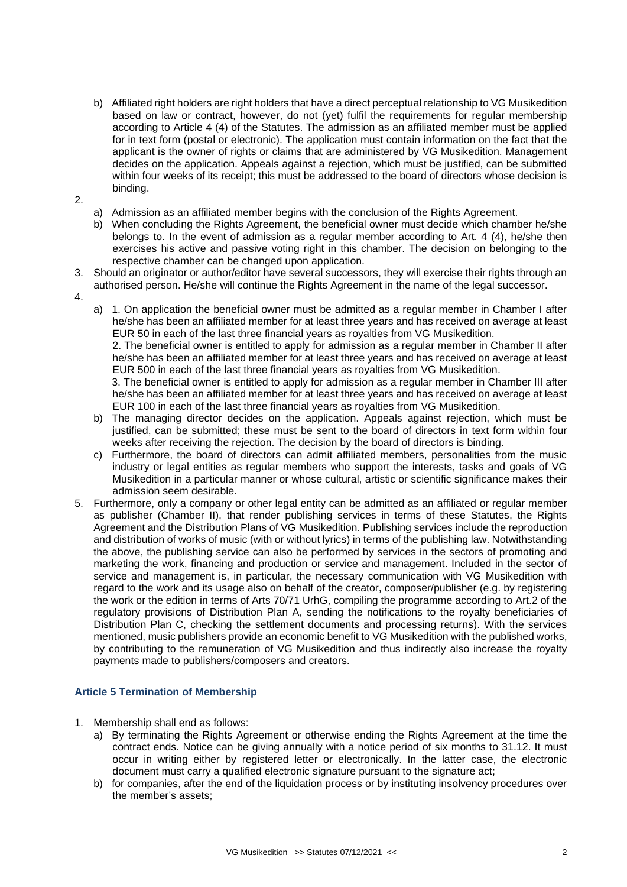- b) Affiliated right holders are right holders that have a direct perceptual relationship to VG Musikedition based on law or contract, however, do not (yet) fulfil the requirements for regular membership according to Article 4 (4) of the Statutes. The admission as an affiliated member must be applied for in text form (postal or electronic). The application must contain information on the fact that the applicant is the owner of rights or claims that are administered by VG Musikedition. Management decides on the application. Appeals against a rejection, which must be justified, can be submitted within four weeks of its receipt; this must be addressed to the board of directors whose decision is binding.
- 2.
- a) Admission as an affiliated member begins with the conclusion of the Rights Agreement.
- b) When concluding the Rights Agreement, the beneficial owner must decide which chamber he/she belongs to. In the event of admission as a regular member according to Art. 4 (4), he/she then exercises his active and passive voting right in this chamber. The decision on belonging to the respective chamber can be changed upon application.
- 3. Should an originator or author/editor have several successors, they will exercise their rights through an authorised person. He/she will continue the Rights Agreement in the name of the legal successor.
- 4.

a) 1. On application the beneficial owner must be admitted as a regular member in Chamber I after he/she has been an affiliated member for at least three years and has received on average at least EUR 50 in each of the last three financial years as royalties from VG Musikedition.

2. The beneficial owner is entitled to apply for admission as a regular member in Chamber II after he/she has been an affiliated member for at least three years and has received on average at least EUR 500 in each of the last three financial years as royalties from VG Musikedition.

3. The beneficial owner is entitled to apply for admission as a regular member in Chamber III after he/she has been an affiliated member for at least three years and has received on average at least EUR 100 in each of the last three financial years as royalties from VG Musikedition.

- b) The managing director decides on the application. Appeals against rejection, which must be justified, can be submitted; these must be sent to the board of directors in text form within four weeks after receiving the rejection. The decision by the board of directors is binding.
- c) Furthermore, the board of directors can admit affiliated members, personalities from the music industry or legal entities as regular members who support the interests, tasks and goals of VG Musikedition in a particular manner or whose cultural, artistic or scientific significance makes their admission seem desirable.
- 5. Furthermore, only a company or other legal entity can be admitted as an affiliated or regular member as publisher (Chamber II), that render publishing services in terms of these Statutes, the Rights Agreement and the Distribution Plans of VG Musikedition. Publishing services include the reproduction and distribution of works of music (with or without lyrics) in terms of the publishing law. Notwithstanding the above, the publishing service can also be performed by services in the sectors of promoting and marketing the work, financing and production or service and management. Included in the sector of service and management is, in particular, the necessary communication with VG Musikedition with regard to the work and its usage also on behalf of the creator, composer/publisher (e.g. by registering the work or the edition in terms of Arts 70/71 UrhG, compiling the programme according to Art.2 of the regulatory provisions of Distribution Plan A, sending the notifications to the royalty beneficiaries of Distribution Plan C, checking the settlement documents and processing returns). With the services mentioned, music publishers provide an economic benefit to VG Musikedition with the published works, by contributing to the remuneration of VG Musikedition and thus indirectly also increase the royalty payments made to publishers/composers and creators.

# **Article 5 Termination of Membership**

- 1. Membership shall end as follows:
	- a) By terminating the Rights Agreement or otherwise ending the Rights Agreement at the time the contract ends. Notice can be giving annually with a notice period of six months to 31.12. It must occur in writing either by registered letter or electronically. In the latter case, the electronic document must carry a qualified electronic signature pursuant to the signature act;
	- b) for companies, after the end of the liquidation process or by instituting insolvency procedures over the member's assets;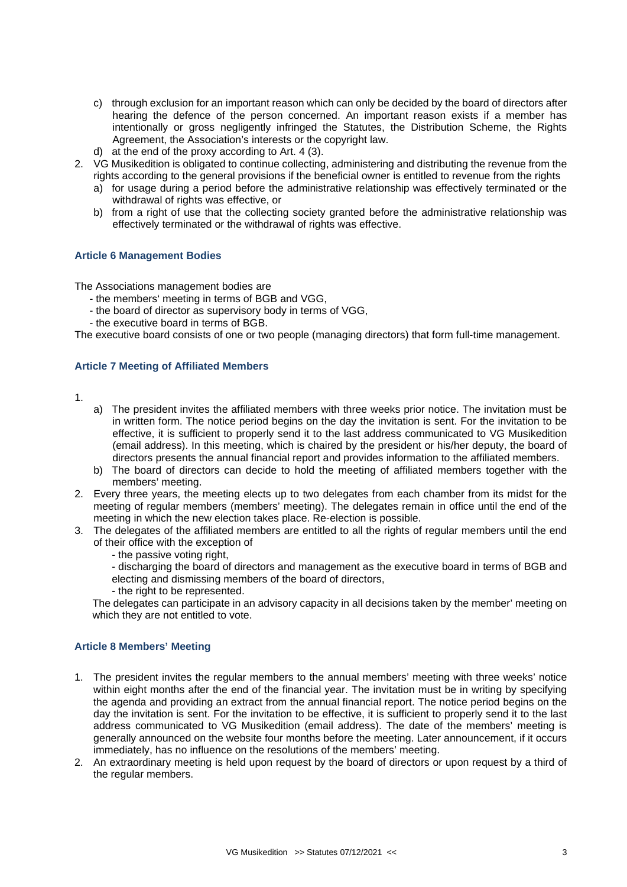- c) through exclusion for an important reason which can only be decided by the board of directors after hearing the defence of the person concerned. An important reason exists if a member has intentionally or gross negligently infringed the Statutes, the Distribution Scheme, the Rights Agreement, the Association's interests or the copyright law.
- d) at the end of the proxy according to Art. 4 (3).
- 2. VG Musikedition is obligated to continue collecting, administering and distributing the revenue from the rights according to the general provisions if the beneficial owner is entitled to revenue from the rights
	- a) for usage during a period before the administrative relationship was effectively terminated or the withdrawal of rights was effective, or
	- b) from a right of use that the collecting society granted before the administrative relationship was effectively terminated or the withdrawal of rights was effective.

## **Article 6 Management Bodies**

The Associations management bodies are

- the members' meeting in terms of BGB and VGG,
- the board of director as supervisory body in terms of VGG,
- the executive board in terms of BGB.

The executive board consists of one or two people (managing directors) that form full-time management.

## **Article 7 Meeting of Affiliated Members**

1.

- a) The president invites the affiliated members with three weeks prior notice. The invitation must be in written form. The notice period begins on the day the invitation is sent. For the invitation to be effective, it is sufficient to properly send it to the last address communicated to VG Musikedition (email address). In this meeting, which is chaired by the president or his/her deputy, the board of directors presents the annual financial report and provides information to the affiliated members.
- b) The board of directors can decide to hold the meeting of affiliated members together with the members' meeting.
- 2. Every three years, the meeting elects up to two delegates from each chamber from its midst for the meeting of regular members (members' meeting). The delegates remain in office until the end of the meeting in which the new election takes place. Re-election is possible.
- 3. The delegates of the affiliated members are entitled to all the rights of regular members until the end of their office with the exception of
	- the passive voting right,

- discharging the board of directors and management as the executive board in terms of BGB and electing and dismissing members of the board of directors,

- the right to be represented.

The delegates can participate in an advisory capacity in all decisions taken by the member' meeting on which they are not entitled to vote.

## **Article 8 Members' Meeting**

- 1. The president invites the regular members to the annual members' meeting with three weeks' notice within eight months after the end of the financial year. The invitation must be in writing by specifying the agenda and providing an extract from the annual financial report. The notice period begins on the day the invitation is sent. For the invitation to be effective, it is sufficient to properly send it to the last address communicated to VG Musikedition (email address). The date of the members' meeting is generally announced on the website four months before the meeting. Later announcement, if it occurs immediately, has no influence on the resolutions of the members' meeting.
- 2. An extraordinary meeting is held upon request by the board of directors or upon request by a third of the regular members.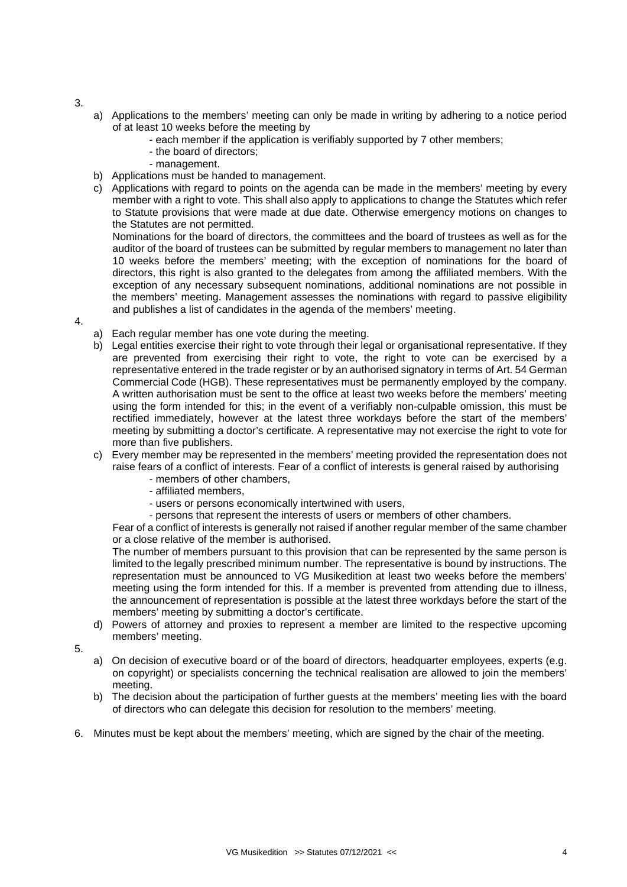- 3.
- a) Applications to the members' meeting can only be made in writing by adhering to a notice period of at least 10 weeks before the meeting by
	- each member if the application is verifiably supported by 7 other members;
	- the board of directors;
	- management.
- b) Applications must be handed to management.
- c) Applications with regard to points on the agenda can be made in the members' meeting by every member with a right to vote. This shall also apply to applications to change the Statutes which refer to Statute provisions that were made at due date. Otherwise emergency motions on changes to the Statutes are not permitted.

Nominations for the board of directors, the committees and the board of trustees as well as for the auditor of the board of trustees can be submitted by regular members to management no later than 10 weeks before the members' meeting; with the exception of nominations for the board of directors, this right is also granted to the delegates from among the affiliated members. With the exception of any necessary subsequent nominations, additional nominations are not possible in the members' meeting. Management assesses the nominations with regard to passive eligibility and publishes a list of candidates in the agenda of the members' meeting.

- 4.
- a) Each regular member has one vote during the meeting.
- b) Legal entities exercise their right to vote through their legal or organisational representative. If they are prevented from exercising their right to vote, the right to vote can be exercised by a representative entered in the trade register or by an authorised signatory in terms of Art. 54 German Commercial Code (HGB). These representatives must be permanently employed by the company. A written authorisation must be sent to the office at least two weeks before the members' meeting using the form intended for this; in the event of a verifiably non-culpable omission, this must be rectified immediately, however at the latest three workdays before the start of the members' meeting by submitting a doctor's certificate. A representative may not exercise the right to vote for more than five publishers.
- c) Every member may be represented in the members' meeting provided the representation does not raise fears of a conflict of interests. Fear of a conflict of interests is general raised by authorising
	- members of other chambers,
	- affiliated members,
	- users or persons economically intertwined with users,
	- persons that represent the interests of users or members of other chambers.

Fear of a conflict of interests is generally not raised if another regular member of the same chamber or a close relative of the member is authorised.

The number of members pursuant to this provision that can be represented by the same person is limited to the legally prescribed minimum number. The representative is bound by instructions. The representation must be announced to VG Musikedition at least two weeks before the members' meeting using the form intended for this. If a member is prevented from attending due to illness, the announcement of representation is possible at the latest three workdays before the start of the members' meeting by submitting a doctor's certificate.

- d) Powers of attorney and proxies to represent a member are limited to the respective upcoming members' meeting.
- 5.
- a) On decision of executive board or of the board of directors, headquarter employees, experts (e.g. on copyright) or specialists concerning the technical realisation are allowed to join the members' meeting.
- b) The decision about the participation of further guests at the members' meeting lies with the board of directors who can delegate this decision for resolution to the members' meeting.
- 6. Minutes must be kept about the members' meeting, which are signed by the chair of the meeting.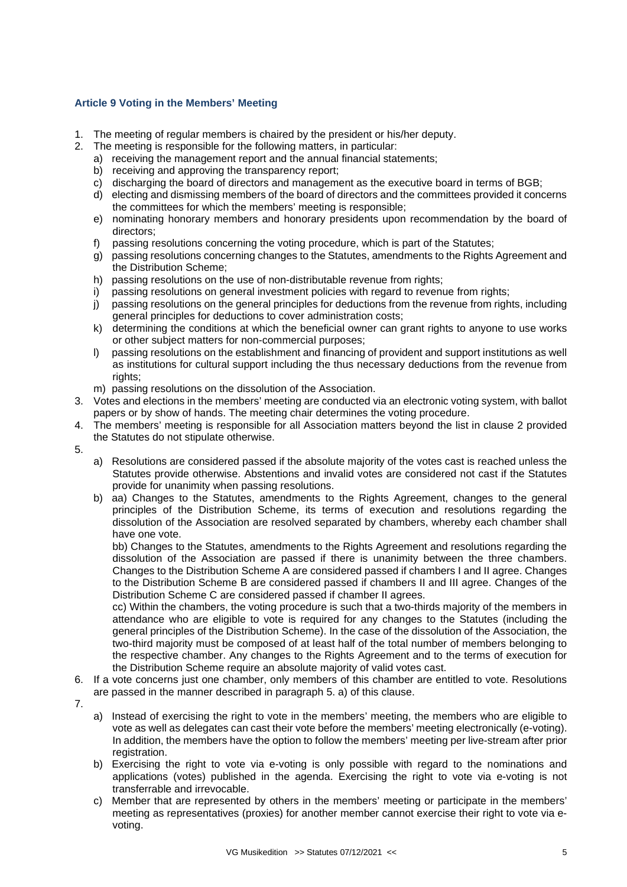# **Article 9 Voting in the Members' Meeting**

- 1. The meeting of regular members is chaired by the president or his/her deputy.
- 2. The meeting is responsible for the following matters, in particular:
	- a) receiving the management report and the annual financial statements;
	- b) receiving and approving the transparency report;
	- c) discharging the board of directors and management as the executive board in terms of BGB;
	- d) electing and dismissing members of the board of directors and the committees provided it concerns the committees for which the members' meeting is responsible;
	- e) nominating honorary members and honorary presidents upon recommendation by the board of directors;
	- f) passing resolutions concerning the voting procedure, which is part of the Statutes;
	- g) passing resolutions concerning changes to the Statutes, amendments to the Rights Agreement and the Distribution Scheme;
	- h) passing resolutions on the use of non-distributable revenue from rights;
	- i) passing resolutions on general investment policies with regard to revenue from rights;
	- j) passing resolutions on the general principles for deductions from the revenue from rights, including general principles for deductions to cover administration costs;
	- k) determining the conditions at which the beneficial owner can grant rights to anyone to use works or other subject matters for non-commercial purposes;
	- l) passing resolutions on the establishment and financing of provident and support institutions as well as institutions for cultural support including the thus necessary deductions from the revenue from rights:
	- m) passing resolutions on the dissolution of the Association.
- 3. Votes and elections in the members' meeting are conducted via an electronic voting system, with ballot papers or by show of hands. The meeting chair determines the voting procedure.
- 4. The members' meeting is responsible for all Association matters beyond the list in clause 2 provided the Statutes do not stipulate otherwise.
- 5.
- a) Resolutions are considered passed if the absolute majority of the votes cast is reached unless the Statutes provide otherwise. Abstentions and invalid votes are considered not cast if the Statutes provide for unanimity when passing resolutions.
- b) aa) Changes to the Statutes, amendments to the Rights Agreement, changes to the general principles of the Distribution Scheme, its terms of execution and resolutions regarding the dissolution of the Association are resolved separated by chambers, whereby each chamber shall have one vote.

bb) Changes to the Statutes, amendments to the Rights Agreement and resolutions regarding the dissolution of the Association are passed if there is unanimity between the three chambers. Changes to the Distribution Scheme A are considered passed if chambers I and II agree. Changes to the Distribution Scheme B are considered passed if chambers II and III agree. Changes of the Distribution Scheme C are considered passed if chamber II agrees.

cc) Within the chambers, the voting procedure is such that a two-thirds majority of the members in attendance who are eligible to vote is required for any changes to the Statutes (including the general principles of the Distribution Scheme). In the case of the dissolution of the Association, the two-third majority must be composed of at least half of the total number of members belonging to the respective chamber. Any changes to the Rights Agreement and to the terms of execution for the Distribution Scheme require an absolute majority of valid votes cast.

- 6. If a vote concerns just one chamber, only members of this chamber are entitled to vote. Resolutions are passed in the manner described in paragraph 5. a) of this clause.
- 7.
- a) Instead of exercising the right to vote in the members' meeting, the members who are eligible to vote as well as delegates can cast their vote before the members' meeting electronically (e-voting). In addition, the members have the option to follow the members' meeting per live-stream after prior registration.
- b) Exercising the right to vote via e-voting is only possible with regard to the nominations and applications (votes) published in the agenda. Exercising the right to vote via e-voting is not transferrable and irrevocable.
- c) Member that are represented by others in the members' meeting or participate in the members' meeting as representatives (proxies) for another member cannot exercise their right to vote via evoting.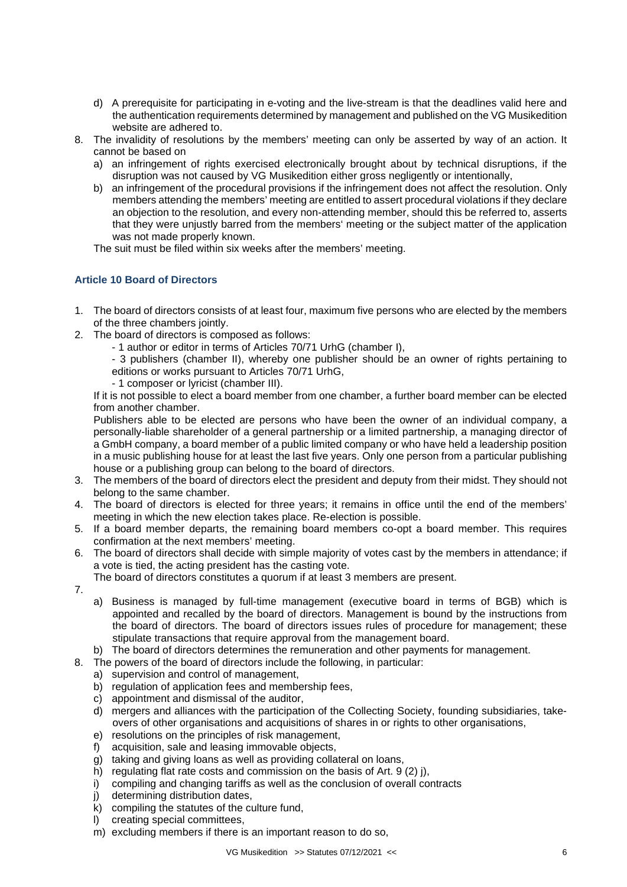- d) A prerequisite for participating in e-voting and the live-stream is that the deadlines valid here and the authentication requirements determined by management and published on the VG Musikedition website are adhered to.
- 8. The invalidity of resolutions by the members' meeting can only be asserted by way of an action. It cannot be based on
	- a) an infringement of rights exercised electronically brought about by technical disruptions, if the disruption was not caused by VG Musikedition either gross negligently or intentionally,
	- b) an infringement of the procedural provisions if the infringement does not affect the resolution. Only members attending the members' meeting are entitled to assert procedural violations if they declare an objection to the resolution, and every non-attending member, should this be referred to, asserts that they were unjustly barred from the members' meeting or the subject matter of the application was not made properly known.

The suit must be filed within six weeks after the members' meeting.

# **Article 10 Board of Directors**

- 1. The board of directors consists of at least four, maximum five persons who are elected by the members of the three chambers jointly.
- 2. The board of directors is composed as follows:
	- 1 author or editor in terms of Articles 70/71 UrhG (chamber I),
	- 3 publishers (chamber II), whereby one publisher should be an owner of rights pertaining to editions or works pursuant to Articles 70/71 UrhG,
	- 1 composer or lyricist (chamber III).

If it is not possible to elect a board member from one chamber, a further board member can be elected from another chamber.

Publishers able to be elected are persons who have been the owner of an individual company, a personally-liable shareholder of a general partnership or a limited partnership, a managing director of a GmbH company, a board member of a public limited company or who have held a leadership position in a music publishing house for at least the last five years. Only one person from a particular publishing house or a publishing group can belong to the board of directors.

- 3. The members of the board of directors elect the president and deputy from their midst. They should not belong to the same chamber.
- 4. The board of directors is elected for three years; it remains in office until the end of the members' meeting in which the new election takes place. Re-election is possible.
- 5. If a board member departs, the remaining board members co-opt a board member. This requires confirmation at the next members' meeting.
- 6. The board of directors shall decide with simple majority of votes cast by the members in attendance; if a vote is tied, the acting president has the casting vote.

The board of directors constitutes a quorum if at least 3 members are present.

- 7.
- a) Business is managed by full-time management (executive board in terms of BGB) which is appointed and recalled by the board of directors. Management is bound by the instructions from the board of directors. The board of directors issues rules of procedure for management; these stipulate transactions that require approval from the management board.
- b) The board of directors determines the remuneration and other payments for management.
- 8. The powers of the board of directors include the following, in particular:
	- a) supervision and control of management,
		- b) regulation of application fees and membership fees.
		- c) appointment and dismissal of the auditor,
		- d) mergers and alliances with the participation of the Collecting Society, founding subsidiaries, takeovers of other organisations and acquisitions of shares in or rights to other organisations,
		- e) resolutions on the principles of risk management,
		- f) acquisition, sale and leasing immovable objects,
		- g) taking and giving loans as well as providing collateral on loans,
		- h) regulating flat rate costs and commission on the basis of Art. 9 (2) j),
		- i) compiling and changing tariffs as well as the conclusion of overall contracts
		- j) determining distribution dates.
		- $k$ ) compiling the statutes of the culture fund,
		- l) creating special committees,
		- m) excluding members if there is an important reason to do so,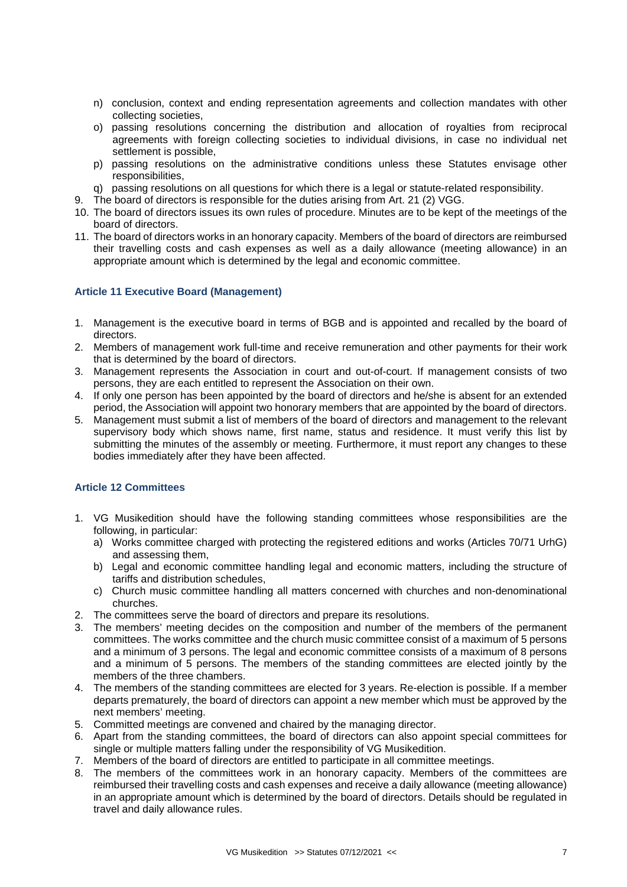- n) conclusion, context and ending representation agreements and collection mandates with other collecting societies,
- o) passing resolutions concerning the distribution and allocation of royalties from reciprocal agreements with foreign collecting societies to individual divisions, in case no individual net settlement is possible,
- p) passing resolutions on the administrative conditions unless these Statutes envisage other responsibilities,
- q) passing resolutions on all questions for which there is a legal or statute-related responsibility.
- 9. The board of directors is responsible for the duties arising from Art. 21 (2) VGG.
- 10. The board of directors issues its own rules of procedure. Minutes are to be kept of the meetings of the board of directors.
- 11. The board of directors works in an honorary capacity. Members of the board of directors are reimbursed their travelling costs and cash expenses as well as a daily allowance (meeting allowance) in an appropriate amount which is determined by the legal and economic committee.

# **Article 11 Executive Board (Management)**

- 1. Management is the executive board in terms of BGB and is appointed and recalled by the board of directors.
- 2. Members of management work full-time and receive remuneration and other payments for their work that is determined by the board of directors.
- 3. Management represents the Association in court and out-of-court. If management consists of two persons, they are each entitled to represent the Association on their own.
- 4. If only one person has been appointed by the board of directors and he/she is absent for an extended period, the Association will appoint two honorary members that are appointed by the board of directors.
- 5. Management must submit a list of members of the board of directors and management to the relevant supervisory body which shows name, first name, status and residence. It must verify this list by submitting the minutes of the assembly or meeting. Furthermore, it must report any changes to these bodies immediately after they have been affected.

# **Article 12 Committees**

- 1. VG Musikedition should have the following standing committees whose responsibilities are the following, in particular:
	- a) Works committee charged with protecting the registered editions and works (Articles 70/71 UrhG) and assessing them,
	- b) Legal and economic committee handling legal and economic matters, including the structure of tariffs and distribution schedules,
	- c) Church music committee handling all matters concerned with churches and non-denominational churches.
- 2. The committees serve the board of directors and prepare its resolutions.
- 3. The members' meeting decides on the composition and number of the members of the permanent committees. The works committee and the church music committee consist of a maximum of 5 persons and a minimum of 3 persons. The legal and economic committee consists of a maximum of 8 persons and a minimum of 5 persons. The members of the standing committees are elected jointly by the members of the three chambers.
- 4. The members of the standing committees are elected for 3 years. Re-election is possible. If a member departs prematurely, the board of directors can appoint a new member which must be approved by the next members' meeting.
- 5. Committed meetings are convened and chaired by the managing director.
- 6. Apart from the standing committees, the board of directors can also appoint special committees for single or multiple matters falling under the responsibility of VG Musikedition.
- 7. Members of the board of directors are entitled to participate in all committee meetings.
- 8. The members of the committees work in an honorary capacity. Members of the committees are reimbursed their travelling costs and cash expenses and receive a daily allowance (meeting allowance) in an appropriate amount which is determined by the board of directors. Details should be regulated in travel and daily allowance rules.